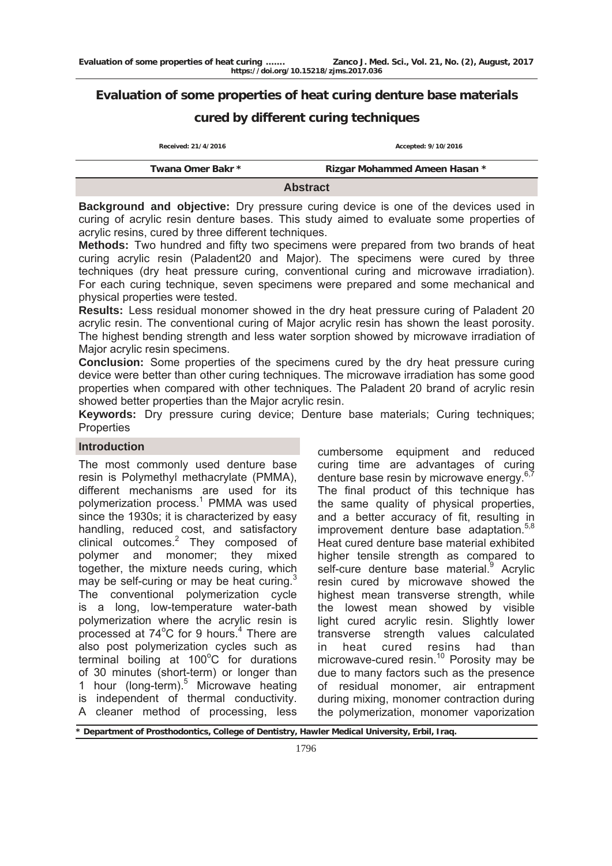# **Evaluation of some properties of heat curing denture base materials**

# **cured by different curing techniques**

| Received: 21/4/2016 | Accepted: 9/10/2016           |  |  |  |  |  |
|---------------------|-------------------------------|--|--|--|--|--|
| Twana Omer Bakr *   | Rizgar Mohammed Ameen Hasan * |  |  |  |  |  |
| <b>Abstract</b>     |                               |  |  |  |  |  |

**Background and objective:** Dry pressure curing device is one of the devices used in curing of acrylic resin denture bases. This study aimed to evaluate some properties of acrylic resins, cured by three different techniques.

**Methods:** Two hundred and fifty two specimens were prepared from two brands of heat curing acrylic resin (Paladent20 and Major). The specimens were cured by three techniques (dry heat pressure curing, conventional curing and microwave irradiation). For each curing technique, seven specimens were prepared and some mechanical and physical properties were tested.

**Results:** Less residual monomer showed in the dry heat pressure curing of Paladent 20 acrylic resin. The conventional curing of Major acrylic resin has shown the least porosity. The highest bending strength and less water sorption showed by microwave irradiation of Major acrylic resin specimens.

**Conclusion:** Some properties of the specimens cured by the dry heat pressure curing device were better than other curing techniques. The microwave irradiation has some good properties when compared with other techniques. The Paladent 20 brand of acrylic resin showed better properties than the Major acrylic resin.

**Keywords:** Dry pressure curing device; Denture base materials; Curing techniques; **Properties** 

### **Introduction**

The most commonly used denture base resin is Polymethyl methacrylate (PMMA), different mechanisms are used for its polymerization process.<sup>1</sup> PMMA was used since the 1930s; it is characterized by easy handling, reduced cost, and satisfactory clinical outcomes.<sup>2</sup> They composed of polymer and monomer; they mixed together, the mixture needs curing, which may be self-curing or may be heat curing. $3$ The conventional polymerization cycle is a long, low-temperature water-bath polymerization where the acrylic resin is processed at 74°C for 9 hours.<sup>4</sup> There are also post polymerization cycles such as  $t$ erminal boiling at 100 $^{\circ}$ C for durations of 30 minutes (short-term) or longer than 1 hour (long-term).<sup>5</sup> Microwave heating is independent of thermal conductivity. A cleaner method of processing, less

cumbersome equipment and reduced curing time are advantages of curing denture base resin by microwave energy.<sup>6,7</sup> The final product of this technique has the same quality of physical properties, and a better accuracy of fit, resulting in improvement denture base adaptation.<sup>5,8</sup> Heat cured denture base material exhibited higher tensile strength as compared to self-cure denture base material.<sup>9</sup> Acrylic resin cured by microwave showed the highest mean transverse strength, while the lowest mean showed by visible light cured acrylic resin. Slightly lower transverse strength values calculated in heat cured resins had than microwave-cured resin.<sup>10</sup> Porosity may be due to many factors such as the presence of residual monomer, air entrapment during mixing, monomer contraction during the polymerization, monomer vaporization

**\* Department of Prosthodontics, College of Dentistry, Hawler Medical University, Erbil, Iraq.**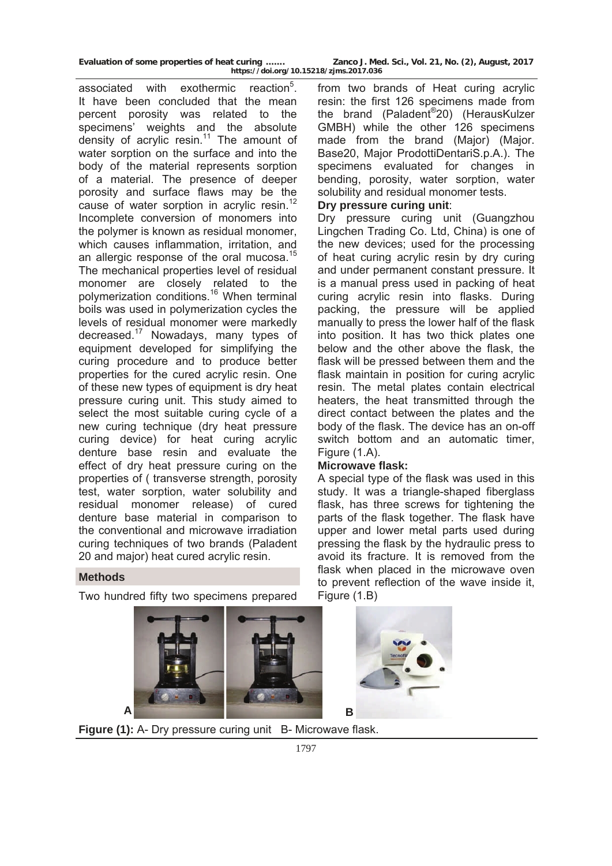associated with exothermic reaction<sup>5</sup>. It have been concluded that the mean percent porosity was related to the specimens' weights and the absolute density of acrylic resin.<sup>11</sup> The amount of water sorption on the surface and into the body of the material represents sorption of a material. The presence of deeper porosity and surface flaws may be the cause of water sorption in acrylic resin.<sup>12</sup> Incomplete conversion of monomers into the polymer is known as residual monomer, which causes inflammation, irritation, and an allergic response of the oral mucosa.<sup>15</sup> The mechanical properties level of residual monomer are closely related to the polymerization conditions.<sup>16</sup> When terminal boils was used in polymerization cycles the levels of residual monomer were markedly decreased.17 Nowadays, many types of equipment developed for simplifying the curing procedure and to produce better properties for the cured acrylic resin. One of these new types of equipment is dry heat pressure curing unit. This study aimed to select the most suitable curing cycle of a new curing technique (dry heat pressure curing device) for heat curing acrylic denture base resin and evaluate the effect of dry heat pressure curing on the properties of ( transverse strength, porosity test, water sorption, water solubility and residual monomer release) of cured denture base material in comparison to the conventional and microwave irradiation curing techniques of two brands (Paladent 20 and major) heat cured acrylic resin.

from two brands of Heat curing acrylic resin: the first 126 specimens made from the brand (Paladent®20) (HerausKulzer GMBH) while the other 126 specimens made from the brand (Major) (Major. Base20, Major ProdottiDentariS.p.A.). The specimens evaluated for changes in bending, porosity, water sorption, water solubility and residual monomer tests.

## **Dry pressure curing unit**:

Dry pressure curing unit (Guangzhou Lingchen Trading Co. Ltd, China) is one of the new devices; used for the processing of heat curing acrylic resin by dry curing and under permanent constant pressure. It is a manual press used in packing of heat curing acrylic resin into flasks. During packing, the pressure will be applied manually to press the lower half of the flask into position. It has two thick plates one below and the other above the flask, the flask will be pressed between them and the flask maintain in position for curing acrylic resin. The metal plates contain electrical heaters, the heat transmitted through the direct contact between the plates and the body of the flask. The device has an on-off switch bottom and an automatic timer, Figure (1.A).

## **Microwave flask:**

A special type of the flask was used in this study. It was a triangle-shaped fiberglass flask, has three screws for tightening the parts of the flask together. The flask have upper and lower metal parts used during pressing the flask by the hydraulic press to avoid its fracture. It is removed from the flask when placed in the microwave oven to prevent reflection of the wave inside it, Figure (1.B)





**Figure (1):** A- Dry pressure curing unit B- Microwave flask.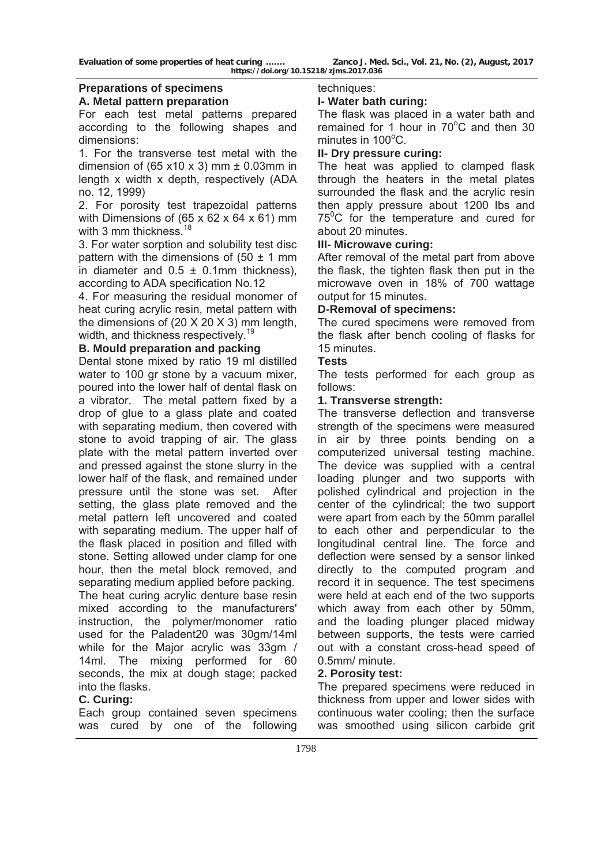# **Preparations of specimens**

### **A. Metal pattern preparation**

For each test metal patterns prepared according to the following shapes and dimensions:

1. For the transverse test metal with the dimension of (65 x10 x 3) mm  $\pm$  0.03mm in length x width x depth, respectively (ADA no. 12, 1999)

2. For porosity test trapezoidal patterns with Dimensions of  $(65 \times 62 \times 64 \times 61)$  mm with 3 mm thickness.<sup>18</sup>

3. For water sorption and solubility test disc pattern with the dimensions of  $(50 \pm 1 \text{ mm})$ in diameter and  $0.5 \pm 0.1$ mm thickness), according to ADA specification No.12

4. For measuring the residual monomer of heat curing acrylic resin, metal pattern with the dimensions of (20 X 20 X 3) mm length, width, and thickness respectively.<sup>19</sup>

## **B. Mould preparation and packing**

Dental stone mixed by ratio 19 ml distilled water to 100 gr stone by a vacuum mixer, poured into the lower half of dental flask on a vibrator. The metal pattern fixed by a drop of glue to a glass plate and coated with separating medium, then covered with stone to avoid trapping of air. The glass plate with the metal pattern inverted over and pressed against the stone slurry in the lower half of the flask, and remained under pressure until the stone was set. After setting, the glass plate removed and the metal pattern left uncovered and coated with separating medium. The upper half of the flask placed in position and filled with stone. Setting allowed under clamp for one hour, then the metal block removed, and separating medium applied before packing. The heat curing acrylic denture base resin mixed according to the manufacturers' instruction, the polymer/monomer ratio used for the Paladent20 was 30gm/14ml

while for the Major acrylic was 33gm / 14ml. The mixing performed for 60 seconds, the mix at dough stage; packed into the flasks.

## **C. Curing:**

Each group contained seven specimens was cured by one of the following

techniques:

## **I- Water bath curing:**

The flask was placed in a water bath and remained for  $1$  hour in 70 $^{\circ}$ C and then 30 minutes in 100°C.

## **II- Dry pressure curing:**

The heat was applied to clamped flask through the heaters in the metal plates surrounded the flask and the acrylic resin then apply pressure about 1200 Ibs and 75<sup>o</sup>C for the temperature and cured for about 20 minutes.

### **III- Microwave curing:**

After removal of the metal part from above the flask, the tighten flask then put in the microwave oven in 18% of 700 wattage output for 15 minutes.

## **D-Removal of specimens:**

The cured specimens were removed from the flask after bench cooling of flasks for 15 minutes.

### **Tests**

The tests performed for each group as follows:

## **1. Transverse strength:**

The transverse deflection and transverse strength of the specimens were measured in air by three points bending on a computerized universal testing machine. The device was supplied with a central loading plunger and two supports with polished cylindrical and projection in the center of the cylindrical; the two support were apart from each by the 50mm parallel to each other and perpendicular to the longitudinal central line. The force and deflection were sensed by a sensor linked directly to the computed program and record it in sequence. The test specimens were held at each end of the two supports which away from each other by 50mm, and the loading plunger placed midway between supports, the tests were carried out with a constant cross-head speed of 0.5mm/ minute.

### **2. Porosity test:**

The prepared specimens were reduced in thickness from upper and lower sides with continuous water cooling; then the surface was smoothed using silicon carbide grit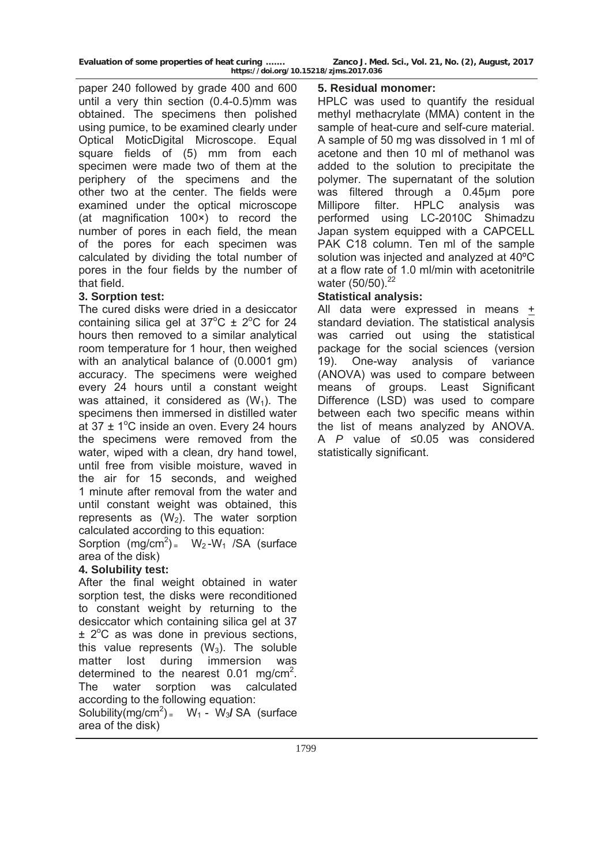paper 240 followed by grade 400 and 600 until a very thin section (0.4-0.5)mm was obtained. The specimens then polished using pumice, to be examined clearly under Optical MoticDigital Microscope. Equal square fields of (5) mm from each specimen were made two of them at the periphery of the specimens and the other two at the center. The fields were examined under the optical microscope (at magnification 100×) to record the number of pores in each field, the mean of the pores for each specimen was calculated by dividing the total number of pores in the four fields by the number of that field.

# **3. Sorption test:**

The cured disks were dried in a desiccator containing silica gel at  $37^{\circ}$ C  $\pm$  2°C for 24 hours then removed to a similar analytical room temperature for 1 hour, then weighed with an analytical balance of (0.0001 gm) accuracy. The specimens were weighed every 24 hours until a constant weight was attained, it considered as  $(W_1)$ . The specimens then immersed in distilled water at  $37 \pm 1^{\circ}$ C inside an oven. Every 24 hours the specimens were removed from the water, wiped with a clean, dry hand towel, until free from visible moisture, waved in the air for 15 seconds, and weighed 1 minute after removal from the water and until constant weight was obtained, this represents as  $(W_2)$ . The water sorption calculated according to this equation:

Sorption  $(mg/cm^2)$  W<sub>2</sub>-W<sub>1</sub> /SA (surface area of the disk)

# **4. Solubility test:**

After the final weight obtained in water sorption test, the disks were reconditioned to constant weight by returning to the desiccator which containing silica gel at 37  $\pm$  2 $\degree$ C as was done in previous sections, this value represents  $(W_3)$ . The soluble matter lost during immersion was determined to the nearest  $0.01$  mg/cm<sup>2</sup>. The water sorption was calculated according to the following equation: Solubility(mg/cm<sup>2</sup>) =  $W_1 - W_3$ / SA (surface

area of the disk)

## **5. Residual monomer:**

HPLC was used to quantify the residual methyl methacrylate (MMA) content in the sample of heat-cure and self-cure material. A sample of 50 mg was dissolved in 1 ml of acetone and then 10 ml of methanol was added to the solution to precipitate the polymer. The supernatant of the solution was filtered through a 0.45μm pore Millipore filter. HPLC analysis was performed using LC-2010C Shimadzu Japan system equipped with a CAPCELL PAK C18 column. Ten ml of the sample solution was injected and analyzed at 40ºC at a flow rate of 1.0 ml/min with acetonitrile water (50/50).<sup>22</sup>

# **Statistical analysis:**

All data were expressed in means + standard deviation. The statistical analysis was carried out using the statistical package for the social sciences (version 19). One-way analysis of variance (ANOVA) was used to compare between means of groups. Least Significant Difference (LSD) was used to compare between each two specific means within the list of means analyzed by ANOVA. A *P* value of ≤0.05 was considered statistically significant.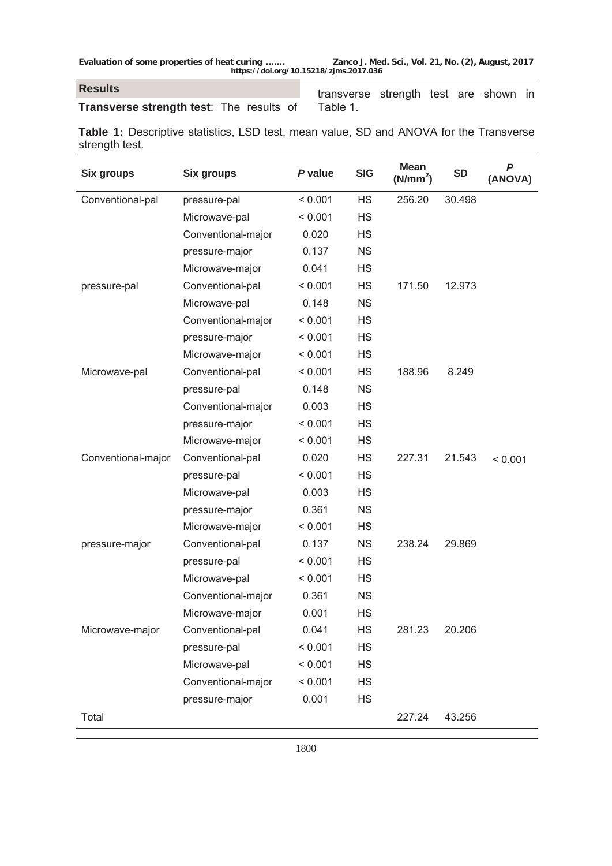## **Results**

# **Transverse strength test**: The results of

transverse strength test are shown in Table 1.

**Table 1:** Descriptive statistics, LSD test, mean value, SD and ANOVA for the Transverse strength test.

| <b>Six groups</b>  | <b>Six groups</b>  | P value | <b>SIG</b> | <b>Mean</b><br>(N/mm <sup>2</sup> ) | <b>SD</b> | $\boldsymbol{P}$<br>(ANOVA) |
|--------------------|--------------------|---------|------------|-------------------------------------|-----------|-----------------------------|
| Conventional-pal   | pressure-pal       | < 0.001 | <b>HS</b>  | 256.20                              | 30.498    |                             |
|                    | Microwave-pal      | < 0.001 | <b>HS</b>  |                                     |           |                             |
|                    | Conventional-major | 0.020   | <b>HS</b>  |                                     |           |                             |
|                    | pressure-major     | 0.137   | <b>NS</b>  |                                     |           |                             |
|                    | Microwave-major    | 0.041   | HS         |                                     |           |                             |
| pressure-pal       | Conventional-pal   | < 0.001 | HS         | 171.50                              | 12.973    |                             |
|                    | Microwave-pal      | 0.148   | <b>NS</b>  |                                     |           |                             |
|                    | Conventional-major | < 0.001 | <b>HS</b>  |                                     |           |                             |
|                    | pressure-major     | < 0.001 | <b>HS</b>  |                                     |           |                             |
|                    | Microwave-major    | < 0.001 | HS         |                                     |           |                             |
| Microwave-pal      | Conventional-pal   | < 0.001 | HS         | 188.96                              | 8.249     |                             |
|                    | pressure-pal       | 0.148   | <b>NS</b>  |                                     |           |                             |
|                    | Conventional-major | 0.003   | <b>HS</b>  |                                     |           |                             |
|                    | pressure-major     | < 0.001 | <b>HS</b>  |                                     |           |                             |
|                    | Microwave-major    | < 0.001 | HS         |                                     |           |                             |
| Conventional-major | Conventional-pal   | 0.020   | HS         | 227.31                              | 21.543    | < 0.001                     |
|                    | pressure-pal       | < 0.001 | <b>HS</b>  |                                     |           |                             |
|                    | Microwave-pal      | 0.003   | <b>HS</b>  |                                     |           |                             |
|                    | pressure-major     | 0.361   | <b>NS</b>  |                                     |           |                             |
|                    | Microwave-major    | < 0.001 | HS         |                                     |           |                             |
| pressure-major     | Conventional-pal   | 0.137   | <b>NS</b>  | 238.24                              | 29.869    |                             |
|                    | pressure-pal       | < 0.001 | <b>HS</b>  |                                     |           |                             |
|                    | Microwave-pal      | < 0.001 | <b>HS</b>  |                                     |           |                             |
|                    | Conventional-major | 0.361   | <b>NS</b>  |                                     |           |                             |
|                    | Microwave-major    | 0.001   | HS         |                                     |           |                             |
| Microwave-major    | Conventional-pal   | 0.041   | <b>HS</b>  | 281.23                              | 20.206    |                             |
|                    | pressure-pal       | < 0.001 | <b>HS</b>  |                                     |           |                             |
|                    | Microwave-pal      | < 0.001 | <b>HS</b>  |                                     |           |                             |
|                    | Conventional-major | < 0.001 | <b>HS</b>  |                                     |           |                             |
|                    | pressure-major     | 0.001   | <b>HS</b>  |                                     |           |                             |
| Total              |                    |         |            | 227.24                              | 43.256    |                             |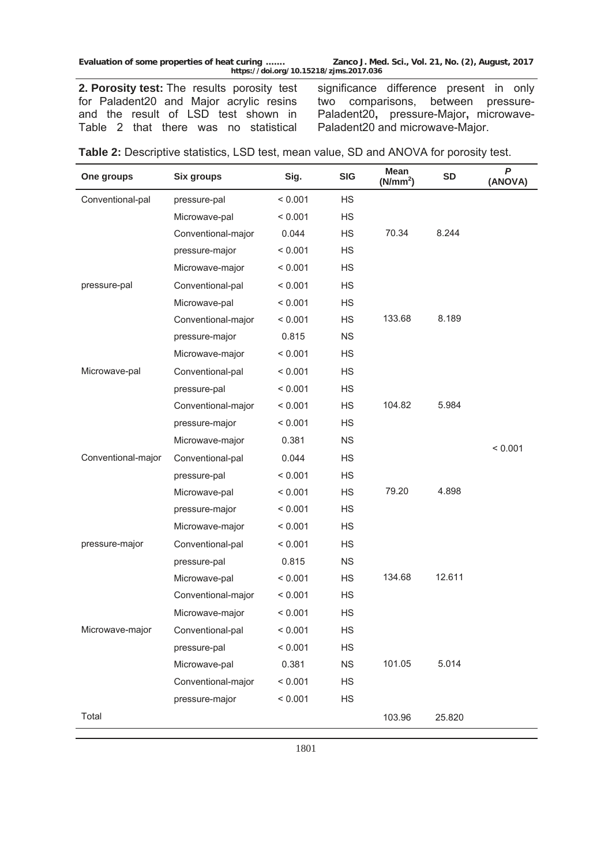**2. Porosity test:** The results porosity test for Paladent20 and Major acrylic resins and the result of LSD test shown in Table 2 that there was no statistical

significance difference present in only two comparisons, between pressure-Paladent20**,** pressure-Major**,** microwave-Paladent20 and microwave-Major.

| One groups         | Six groups         | Sig.    | <b>SIG</b> | <b>Mean</b><br>(N/mm <sup>2</sup> ) | <b>SD</b> | $\boldsymbol{P}$<br>(ANOVA) |
|--------------------|--------------------|---------|------------|-------------------------------------|-----------|-----------------------------|
| Conventional-pal   | pressure-pal       | < 0.001 | <b>HS</b>  |                                     |           |                             |
|                    | Microwave-pal      | < 0.001 | <b>HS</b>  |                                     |           |                             |
|                    | Conventional-major | 0.044   | <b>HS</b>  | 70.34                               | 8.244     |                             |
|                    | pressure-major     | < 0.001 | <b>HS</b>  |                                     |           |                             |
|                    | Microwave-major    | < 0.001 | <b>HS</b>  |                                     |           |                             |
| pressure-pal       | Conventional-pal   | < 0.001 | <b>HS</b>  |                                     |           |                             |
|                    | Microwave-pal      | < 0.001 | <b>HS</b>  |                                     |           |                             |
|                    | Conventional-major | < 0.001 | <b>HS</b>  | 133.68                              | 8.189     |                             |
|                    | pressure-major     | 0.815   | <b>NS</b>  |                                     |           |                             |
|                    | Microwave-major    | < 0.001 | <b>HS</b>  |                                     |           |                             |
| Microwave-pal      | Conventional-pal   | < 0.001 | <b>HS</b>  |                                     |           |                             |
|                    | pressure-pal       | < 0.001 | <b>HS</b>  |                                     |           |                             |
|                    | Conventional-major | < 0.001 | <b>HS</b>  | 104.82                              | 5.984     |                             |
|                    | pressure-major     | < 0.001 | <b>HS</b>  |                                     |           |                             |
|                    | Microwave-major    | 0.381   | <b>NS</b>  |                                     |           | < 0.001                     |
| Conventional-major | Conventional-pal   | 0.044   | <b>HS</b>  |                                     |           |                             |
|                    | pressure-pal       | < 0.001 | <b>HS</b>  |                                     |           |                             |
|                    | Microwave-pal      | < 0.001 | <b>HS</b>  | 79.20                               | 4.898     |                             |
|                    | pressure-major     | < 0.001 | <b>HS</b>  |                                     |           |                             |
|                    | Microwave-major    | < 0.001 | <b>HS</b>  |                                     |           |                             |
| pressure-major     | Conventional-pal   | < 0.001 | <b>HS</b>  |                                     |           |                             |
|                    | pressure-pal       | 0.815   | <b>NS</b>  |                                     |           |                             |
|                    | Microwave-pal      | < 0.001 | <b>HS</b>  | 134.68                              | 12.611    |                             |
|                    | Conventional-major | < 0.001 | <b>HS</b>  |                                     |           |                             |
|                    | Microwave-major    | < 0.001 | <b>HS</b>  |                                     |           |                             |
| Microwave-major    | Conventional-pal   | < 0.001 | <b>HS</b>  |                                     |           |                             |
|                    | pressure-pal       | < 0.001 | <b>HS</b>  |                                     |           |                             |
|                    | Microwave-pal      | 0.381   | <b>NS</b>  | 101.05                              | 5.014     |                             |
|                    | Conventional-major | < 0.001 | <b>HS</b>  |                                     |           |                             |
|                    | pressure-major     | < 0.001 | <b>HS</b>  |                                     |           |                             |
| Total              |                    |         |            | 103.96                              | 25.820    |                             |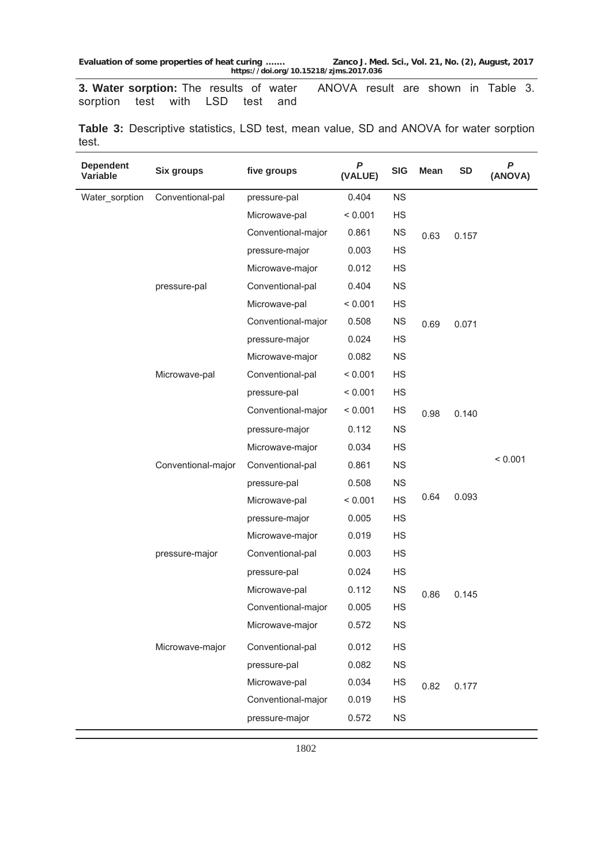**3. Water sorption:** The results of water sorption test with LSD test and ANOVA result are shown in Table 3.

| <b>Dependent</b><br>Variable | <b>Six groups</b>  | five groups        | P<br>(VALUE) | <b>SIG</b> | <b>Mean</b> | <b>SD</b> | $\boldsymbol{P}$<br>(ANOVA) |
|------------------------------|--------------------|--------------------|--------------|------------|-------------|-----------|-----------------------------|
| Water_sorption               | Conventional-pal   | pressure-pal       | 0.404        | NS         |             |           |                             |
|                              |                    | Microwave-pal      | < 0.001      | <b>HS</b>  |             |           |                             |
|                              |                    | Conventional-major | 0.861        | <b>NS</b>  | 0.63        | 0.157     |                             |
|                              |                    | pressure-major     | 0.003        | HS         |             |           |                             |
|                              |                    | Microwave-major    | 0.012        | HS         |             |           |                             |
|                              | pressure-pal       | Conventional-pal   | 0.404        | <b>NS</b>  |             |           |                             |
|                              |                    | Microwave-pal      | < 0.001      | <b>HS</b>  |             |           |                             |
|                              |                    | Conventional-major | 0.508        | <b>NS</b>  | 0.69        | 0.071     |                             |
|                              |                    | pressure-major     | 0.024        | <b>HS</b>  |             |           |                             |
|                              |                    | Microwave-major    | 0.082        | <b>NS</b>  |             |           |                             |
|                              | Microwave-pal      | Conventional-pal   | < 0.001      | HS         |             |           |                             |
|                              |                    | pressure-pal       | < 0.001      | <b>HS</b>  |             |           |                             |
|                              |                    | Conventional-major | < 0.001      | <b>HS</b>  | 0.98        | 0.140     |                             |
|                              |                    | pressure-major     | 0.112        | <b>NS</b>  |             |           |                             |
|                              |                    | Microwave-major    | 0.034        | <b>HS</b>  |             |           |                             |
|                              | Conventional-major | Conventional-pal   | 0.861        | <b>NS</b>  |             |           | < 0.001                     |
|                              |                    | pressure-pal       | 0.508        | <b>NS</b>  |             |           |                             |
|                              |                    | Microwave-pal      | < 0.001      | <b>HS</b>  | 0.64        | 0.093     |                             |
|                              |                    | pressure-major     | 0.005        | <b>HS</b>  |             |           |                             |
|                              |                    | Microwave-major    | 0.019        | <b>HS</b>  |             |           |                             |
|                              | pressure-major     | Conventional-pal   | 0.003        | <b>HS</b>  |             |           |                             |
|                              |                    | pressure-pal       | 0.024        | <b>HS</b>  |             |           |                             |
|                              |                    | Microwave-pal      | 0.112        | <b>NS</b>  | 0.86        | 0.145     |                             |
|                              |                    | Conventional-major | 0.005        | HS         |             |           |                             |
|                              |                    | Microwave-major    | 0.572        | <b>NS</b>  |             |           |                             |
|                              | Microwave-major    | Conventional-pal   | 0.012        | <b>HS</b>  |             |           |                             |
|                              |                    | pressure-pal       | 0.082        | <b>NS</b>  |             |           |                             |
|                              |                    | Microwave-pal      | 0.034        | HS         | 0.82        | 0.177     |                             |
|                              |                    | Conventional-major | 0.019        | <b>HS</b>  |             |           |                             |
|                              |                    | pressure-major     | 0.572        | NS         |             |           |                             |

**Table 3:** Descriptive statistics, LSD test, mean value, SD and ANOVA for water sorption test.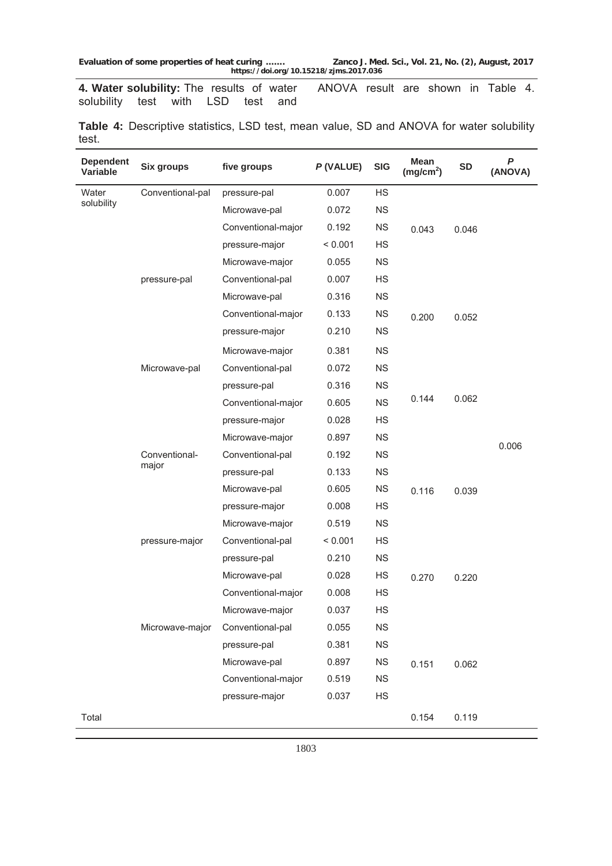**4. Water solubility:** The results of water solubility test with LSD test and ANOVA result are shown in Table 4.

|       | Table 4: Descriptive statistics, LSD test, mean value, SD and ANOVA for water solubility |  |  |  |  |  |  |
|-------|------------------------------------------------------------------------------------------|--|--|--|--|--|--|
| test. |                                                                                          |  |  |  |  |  |  |

| <b>Dependent</b><br>Variable | <b>Six groups</b>      | five groups        | P (VALUE) | <b>SIG</b>  | <b>Mean</b><br>(mg/cm <sup>2</sup> ) | <b>SD</b> | $\boldsymbol{P}$<br>(ANOVA) |
|------------------------------|------------------------|--------------------|-----------|-------------|--------------------------------------|-----------|-----------------------------|
| Water                        | Conventional-pal       | pressure-pal       | 0.007     | HS          |                                      |           |                             |
| solubility                   |                        | Microwave-pal      | 0.072     | <b>NS</b>   |                                      |           |                             |
|                              |                        | Conventional-major | 0.192     | <b>NS</b>   | 0.043                                | 0.046     |                             |
|                              |                        | pressure-major     | < 0.001   | <b>HS</b>   |                                      |           |                             |
|                              |                        | Microwave-major    | 0.055     | <b>NS</b>   |                                      |           |                             |
|                              | pressure-pal           | Conventional-pal   | 0.007     | HS          |                                      |           |                             |
|                              |                        | Microwave-pal      | 0.316     | <b>NS</b>   |                                      |           |                             |
|                              |                        | Conventional-major | 0.133     | <b>NS</b>   | 0.200                                | 0.052     |                             |
|                              |                        | pressure-major     | 0.210     | <b>NS</b>   |                                      |           |                             |
|                              |                        | Microwave-major    | 0.381     | <b>NS</b>   |                                      |           |                             |
|                              | Microwave-pal          | Conventional-pal   | 0.072     | <b>NS</b>   | 0.144                                | 0.062     |                             |
|                              |                        | pressure-pal       | 0.316     | <b>NS</b>   |                                      |           |                             |
|                              |                        | Conventional-major | 0.605     | <b>NS</b>   |                                      |           |                             |
|                              |                        | pressure-major     | 0.028     | <b>HS</b>   |                                      |           |                             |
|                              |                        | Microwave-major    | 0.897     | <b>NS</b>   |                                      |           |                             |
|                              | Conventional-<br>major | Conventional-pal   | 0.192     | <b>NS</b>   |                                      |           | 0.006                       |
|                              |                        | pressure-pal       | 0.133     | <b>NS</b>   |                                      |           |                             |
|                              |                        | Microwave-pal      | 0.605     | <b>NS</b>   | 0.116                                | 0.039     |                             |
|                              |                        | pressure-major     | 0.008     | <b>HS</b>   |                                      |           |                             |
|                              |                        | Microwave-major    | 0.519     | <b>NS</b>   |                                      |           |                             |
|                              | pressure-major         | Conventional-pal   | < 0.001   | <b>HS</b>   |                                      |           |                             |
|                              |                        | pressure-pal       | 0.210     | <b>NS</b>   |                                      |           |                             |
|                              |                        | Microwave-pal      | 0.028     | <b>HS</b>   | 0.270                                | 0.220     |                             |
|                              |                        | Conventional-major | 0.008     | <b>HS</b>   |                                      |           |                             |
|                              |                        | Microwave-major    | 0.037     | <b>HS</b>   |                                      |           |                             |
|                              | Microwave-major        | Conventional-pal   | 0.055     | <b>NS</b>   |                                      |           |                             |
|                              |                        | pressure-pal       | 0.381     | NS          |                                      |           |                             |
|                              |                        | Microwave-pal      | 0.897     | $_{\rm NS}$ | 0.151                                | 0.062     |                             |
|                              |                        | Conventional-major | 0.519     | <b>NS</b>   |                                      |           |                             |
|                              |                        | pressure-major     | 0.037     | HS          |                                      |           |                             |
| Total                        |                        |                    |           |             | 0.154                                | 0.119     |                             |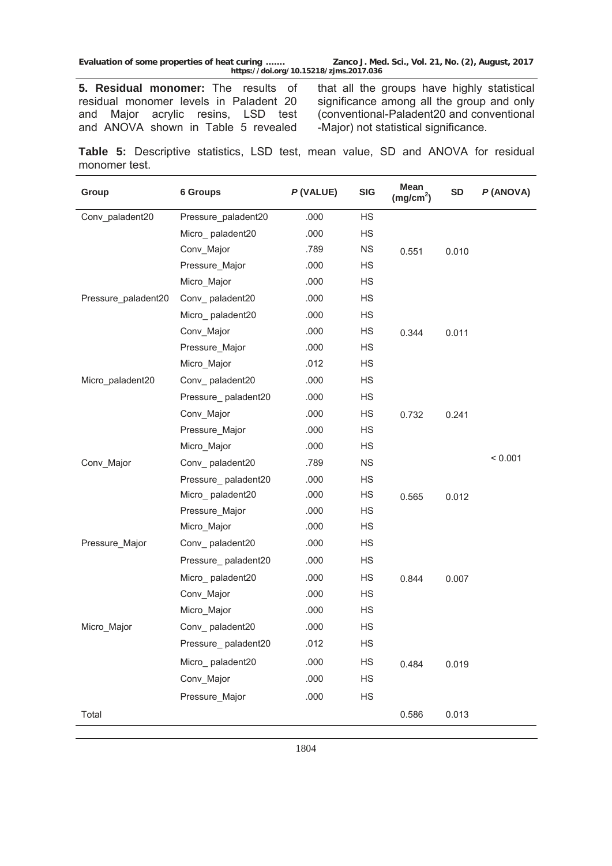**5. Residual monomer:** The results of residual monomer levels in Paladent 20 and Major acrylic resins, LSD test and ANOVA shown in Table 5 revealed that all the groups have highly statistical significance among all the group and only (conventional-Paladent20 and conventional -Major) not statistical significance.

**Table 5:** Descriptive statistics, LSD test, mean value, SD and ANOVA for residual monomer test.

| Group               | <b>6 Groups</b>     |      | <b>SIG</b> | <b>Mean</b><br>(mg/cm <sup>2</sup> ) | <b>SD</b> | P(ANOVA) |
|---------------------|---------------------|------|------------|--------------------------------------|-----------|----------|
| Conv_paladent20     | Pressure_paladent20 | .000 | HS         |                                      |           |          |
|                     | Micro_paladent20    | .000 | <b>HS</b>  |                                      |           |          |
|                     | Conv_Major          | .789 | <b>NS</b>  | 0.551                                | 0.010     |          |
|                     | Pressure_Major      | .000 | <b>HS</b>  |                                      |           |          |
|                     | Micro_Major         | .000 | HS         |                                      |           |          |
| Pressure paladent20 | Conv_paladent20     | .000 | <b>HS</b>  |                                      |           |          |
|                     | Micro_paladent20    | .000 | <b>HS</b>  |                                      |           |          |
|                     | Conv_Major          | .000 | HS         | 0.344                                | 0.011     |          |
|                     | Pressure_Major      | .000 | HS         |                                      |           |          |
|                     | Micro_Major         | .012 | <b>HS</b>  |                                      |           |          |
| Micro_paladent20    | Conv_paladent20     | .000 | <b>HS</b>  |                                      |           |          |
|                     | Pressure paladent20 | .000 | <b>HS</b>  |                                      |           |          |
|                     | Conv_Major          | .000 | <b>HS</b>  | 0.732                                | 0.241     |          |
|                     | Pressure Major      | .000 | HS         |                                      |           |          |
|                     | Micro_Major         | .000 | HS         |                                      |           |          |
| Conv_Major          | Conv paladent20     | .789 | <b>NS</b>  |                                      |           | < 0.001  |
|                     | Pressure_paladent20 | .000 | <b>HS</b>  |                                      |           |          |
|                     | Micro_paladent20    | .000 | <b>HS</b>  | 0.565                                | 0.012     |          |
|                     | Pressure_Major      | .000 | HS         |                                      |           |          |
|                     | Micro_Major         | .000 | HS         |                                      |           |          |
| Pressure_Major      | Conv_paladent20     | .000 | <b>HS</b>  |                                      |           |          |
|                     | Pressure_paladent20 | .000 | HS         |                                      |           |          |
|                     | Micro_paladent20    | .000 | HS         | 0.844                                | 0.007     |          |
|                     | Conv_Major          | .000 | <b>HS</b>  |                                      |           |          |
|                     | Micro_Major         | .000 | HS         |                                      |           |          |
| Micro_Major         | Conv paladent20     | .000 | HS         |                                      |           |          |
|                     | Pressure_paladent20 | .012 | HS         |                                      |           |          |
|                     | Micro_paladent20    | .000 | HS         | 0.484                                | 0.019     |          |
|                     | Conv_Major          | .000 | <b>HS</b>  |                                      |           |          |
|                     | Pressure_Major      | .000 | <b>HS</b>  |                                      |           |          |
| Total               |                     |      |            | 0.586                                | 0.013     |          |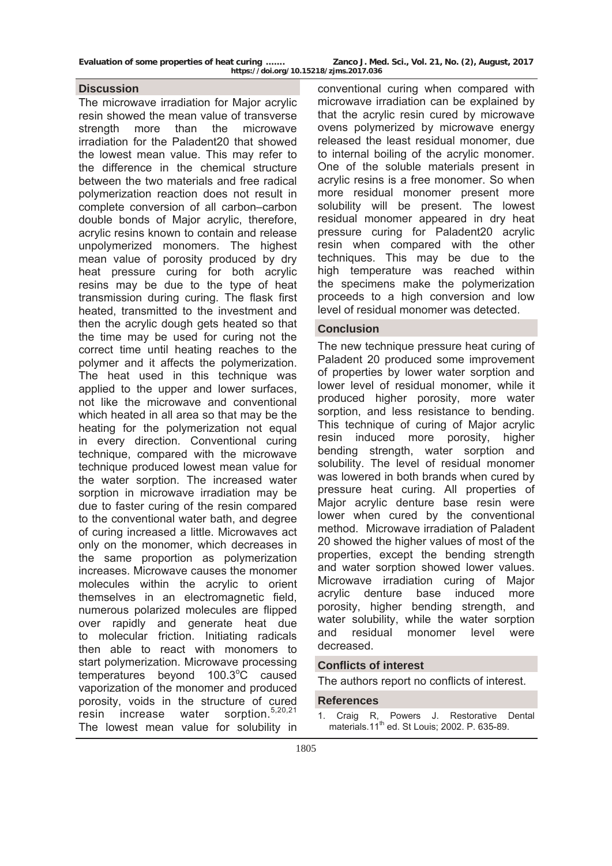### **Discussion**

The microwave irradiation for Major acrylic resin showed the mean value of transverse strength more than the microwave irradiation for the Paladent20 that showed the lowest mean value. This may refer to the difference in the chemical structure between the two materials and free radical polymerization reaction does not result in complete conversion of all carbon–carbon double bonds of Major acrylic, therefore, acrylic resins known to contain and release unpolymerized monomers. The highest mean value of porosity produced by dry heat pressure curing for both acrylic resins may be due to the type of heat transmission during curing. The flask first heated, transmitted to the investment and then the acrylic dough gets heated so that the time may be used for curing not the correct time until heating reaches to the polymer and it affects the polymerization. The heat used in this technique was applied to the upper and lower surfaces, not like the microwave and conventional which heated in all area so that may be the heating for the polymerization not equal in every direction. Conventional curing technique, compared with the microwave technique produced lowest mean value for the water sorption. The increased water sorption in microwave irradiation may be due to faster curing of the resin compared to the conventional water bath, and degree of curing increased a little. Microwaves act only on the monomer, which decreases in the same proportion as polymerization increases. Microwave causes the monomer molecules within the acrylic to orient themselves in an electromagnetic field, numerous polarized molecules are flipped over rapidly and generate heat due to molecular friction. Initiating radicals then able to react with monomers to start polymerization. Microwave processing temperatures beyond 100.3°C caused vaporization of the monomer and produced porosity, voids in the structure of cured<br>resin increase water sorption.<sup>5,20,21</sup> resin increase water The lowest mean value for solubility in

conventional curing when compared with microwave irradiation can be explained by that the acrylic resin cured by microwave ovens polymerized by microwave energy released the least residual monomer, due to internal boiling of the acrylic monomer. One of the soluble materials present in acrylic resins is a free monomer. So when more residual monomer present more solubility will be present. The lowest residual monomer appeared in dry heat pressure curing for Paladent20 acrylic resin when compared with the other techniques. This may be due to the high temperature was reached within the specimens make the polymerization proceeds to a high conversion and low level of residual monomer was detected.

## **Conclusion**

The new technique pressure heat curing of Paladent 20 produced some improvement of properties by lower water sorption and lower level of residual monomer, while it produced higher porosity, more water sorption, and less resistance to bending. This technique of curing of Major acrylic resin induced more porosity, higher bending strength, water sorption and solubility. The level of residual monomer was lowered in both brands when cured by pressure heat curing. All properties of Major acrylic denture base resin were lower when cured by the conventional method. Microwave irradiation of Paladent 20 showed the higher values of most of the properties, except the bending strength and water sorption showed lower values. Microwave irradiation curing of Major acrylic denture base induced more porosity, higher bending strength, and water solubility, while the water sorption and residual monomer level were decreased.

### **Conflicts of interest**

The authors report no conflicts of interest.

### **References**

1. Craig R, Powers J. Restorative Dental materials.11th ed. St Louis; 2002. P. 635-89.